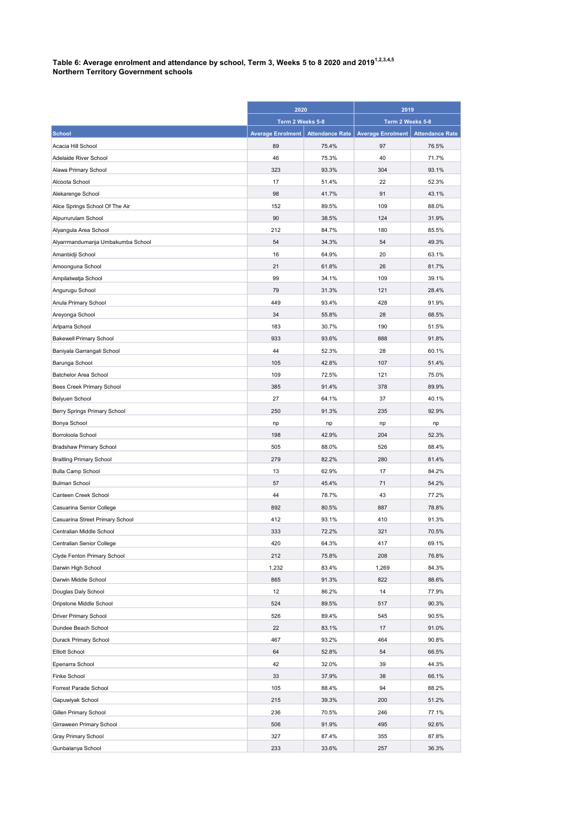## Table 6: Average enrolment and attendance by school, Term 3, Weeks 5 to 8 2020 and 2019 $^{\rm 1.2,3.4,5}$ Northern Territory Government schools

|                                   | 2020                     |                        | 2019                     |                        |
|-----------------------------------|--------------------------|------------------------|--------------------------|------------------------|
|                                   | Term 2 Weeks 5-8         |                        | Term 2 Weeks 5-8         |                        |
| <b>School</b>                     | <b>Average Enrolment</b> | <b>Attendance Rate</b> | <b>Average Enrolment</b> | <b>Attendance Rate</b> |
| Acacia Hill School                | 89                       | 75.4%                  | 97                       | 76.5%                  |
| Adelaide River School             | 46                       | 75.3%                  | 40                       | 71.7%                  |
| Alawa Primary School              | 323                      | 93.3%                  | 304                      | 93.1%                  |
| Alcoota School                    | 17                       | 51.4%                  | 22                       | 52.3%                  |
| Alekarenge School                 | 98                       | 41.7%                  | 91                       | 43.1%                  |
| Alice Springs School Of The Air   | 152                      | 89.5%                  | 109                      | 88.0%                  |
| Alpurrurulam School               | 90                       | 38.5%                  | 124                      | 31.9%                  |
| Alyangula Area School             | 212                      | 84.7%                  | 180                      | 85.5%                  |
| Alyarrmandumanja Umbakumba School | 54                       | 34.3%                  | 54                       | 49.3%                  |
| Amanbidji School                  | 16                       | 64.9%                  | 20                       | 63.1%                  |
| Amoonguna School                  | 21                       | 61.8%                  | 26                       | 81.7%                  |
| Ampilatwatja School               | 99                       | 34.1%                  | 109                      | 39.1%                  |
| Angurugu School                   | 79                       | 31.3%                  | 121                      | 28.4%                  |
| Anula Primary School              | 449                      | 93.4%                  | 428                      | 91.9%                  |
| Areyonga School                   | 34                       | 55.8%                  | 28                       | 68.5%                  |
| Arlparra School                   | 183                      | 30.7%                  | 190                      | 51.5%                  |
| <b>Bakewell Primary School</b>    | 933                      | 93.6%                  | 888                      | 91.8%                  |
| Baniyala Garrangali School        | 44                       | 52.3%                  | 28                       | 60.1%                  |
| Barunga School                    | 105                      | 42.8%                  | 107                      | 51.4%                  |
| <b>Batchelor Area School</b>      | 109                      | 72.5%                  | 121                      | 75.0%                  |
| Bees Creek Primary School         | 385                      | 91.4%                  | 378                      | 89.9%                  |
| Belyuen School                    | 27                       | 64.1%                  | 37                       | 40.1%                  |
| Berry Springs Primary School      | 250                      | 91.3%                  | 235                      | 92.9%                  |
| Bonya School                      | np                       | np                     | np                       | np                     |
| Borroloola School                 | 198                      | 42.9%                  | 204                      | 52.3%                  |
| <b>Bradshaw Primary School</b>    | 505                      | 88.0%                  | 526                      | 88.4%                  |
| <b>Braitling Primary School</b>   | 279                      | 82.2%                  | 280                      | 81.4%                  |
| <b>Bulla Camp School</b>          | 13                       | 62.9%                  | 17                       | 84.2%                  |
| <b>Bulman School</b>              | 57                       | 45.4%                  | 71                       | 54.2%                  |
| Canteen Creek School              | 44                       | 78.7%                  | 43                       | 77.2%                  |
| Casuarina Senior College          | 892                      | 80.5%                  | 887                      | 78.8%                  |
| Casuarina Street Primary School   | 412                      | 93.1%                  | 410                      | 91.3%                  |
| Centralian Middle School          | 333                      | 72.2%                  | 321                      | 70.5%                  |
| Centralian Senior College         | 420                      | 64.3%                  | 417                      | 69.1%                  |
| Clyde Fenton Primary School       | 212                      | 75.8%                  | 208                      | 76.8%                  |
| Darwin High School                | 1,232                    | 83.4%                  | 1,269                    | 84.3%                  |
| Darwin Middle School              | 865                      | 91.3%                  | 822                      | 88.6%                  |
| Douglas Daly School               | 12                       | 86.2%                  | 14                       | 77.9%                  |
| Dripstone Middle School           | 524                      | 89.5%                  | 517                      | 90.3%                  |
| Driver Primary School             | 526                      | 89.4%                  | 545                      | 90.5%                  |
| Dundee Beach School               | 22                       | 83.1%                  | 17                       | 91.0%                  |
| Durack Primary School             | 467                      | 93.2%                  | 464                      | 90.8%                  |
| <b>Elliott School</b>             | 64                       | 52.8%                  | 54                       | 66.5%                  |
| Epenarra School                   | 42                       | 32.0%                  | 39                       | 44.3%                  |
| <b>Finke School</b>               | 33                       | 37.9%                  | 38                       | 66.1%                  |
| Forrest Parade School             | 105                      | 88.4%                  | 94                       | 88.2%                  |
| Gapuwiyak School                  | 215                      | 39.3%                  | 200                      | 51.2%                  |
| Gillen Primary School             | 236                      | 70.5%                  | 246                      | 77.1%                  |
| Girraween Primary School          | 506                      | 91.9%                  | 495                      | 92.6%                  |
| Gray Primary School               | 327                      | 87.4%                  | 355                      | 87.8%                  |
| Gunbalanya School                 | 233                      | 33.6%                  | 257                      | 36.3%                  |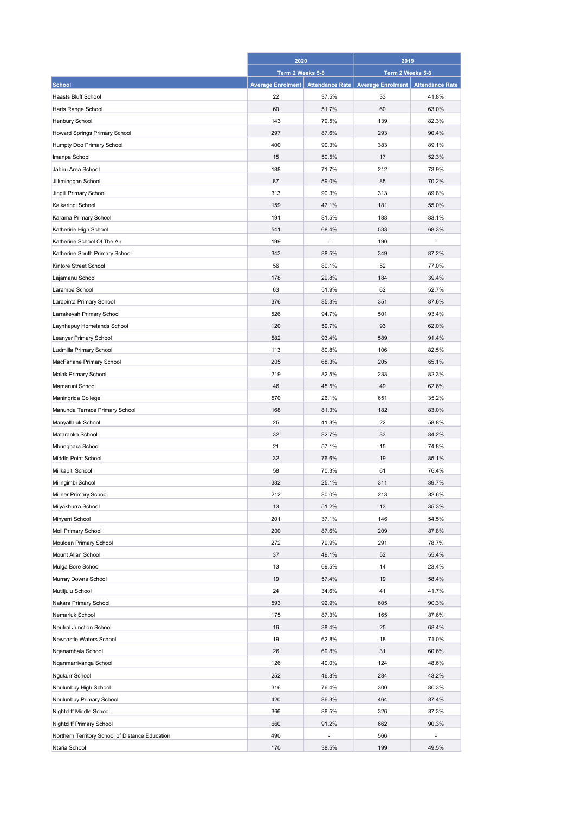|                                                 | 2020                     |                        | 2019                     |                        |
|-------------------------------------------------|--------------------------|------------------------|--------------------------|------------------------|
|                                                 | Term 2 Weeks 5-8         |                        | Term 2 Weeks 5-8         |                        |
| <b>School</b>                                   | <b>Average Enrolment</b> | <b>Attendance Rate</b> | <b>Average Enrolment</b> | <b>Attendance Rate</b> |
| <b>Haasts Bluff School</b>                      | 22                       | 37.5%                  | 33                       | 41.8%                  |
| Harts Range School                              | 60                       | 51.7%                  | 60                       | 63.0%                  |
| Henbury School                                  | 143                      | 79.5%                  | 139                      | 82.3%                  |
| Howard Springs Primary School                   | 297                      | 87.6%                  | 293                      | 90.4%                  |
| Humpty Doo Primary School                       | 400                      | 90.3%                  | 383                      | 89.1%                  |
| Imanpa School                                   | 15                       | 50.5%                  | 17                       | 52.3%                  |
| Jabiru Area School                              | 188                      | 71.7%                  | 212                      | 73.9%                  |
| Jilkminggan School                              | 87                       | 59.0%                  | 85                       | 70.2%                  |
| Jingili Primary School                          | 313                      | 90.3%                  | 313                      | 89.8%                  |
| Kalkaringi School                               | 159                      | 47.1%                  | 181                      | 55.0%                  |
| Karama Primary School                           | 191                      | 81.5%                  | 188                      | 83.1%                  |
| Katherine High School                           | 541                      | 68.4%                  | 533                      | 68.3%                  |
| Katherine School Of The Air                     | 199                      |                        | 190                      |                        |
| Katherine South Primary School                  | 343                      | 88.5%                  | 349                      | 87.2%                  |
| Kintore Street School                           | 56                       | 80.1%                  | 52                       | 77.0%                  |
| Lajamanu School                                 | 178                      | 29.8%                  | 184                      | 39.4%                  |
| Laramba School                                  | 63                       | 51.9%                  | 62                       | 52.7%                  |
| Larapinta Primary School                        | 376                      | 85.3%                  | 351                      | 87.6%                  |
| Larrakeyah Primary School                       | 526                      | 94.7%                  | 501                      | 93.4%                  |
| Laynhapuy Homelands School                      | 120                      | 59.7%                  | 93                       | 62.0%                  |
| Leanyer Primary School                          | 582                      | 93.4%                  | 589                      | 91.4%                  |
| Ludmilla Primary School                         | 113                      | 80.8%                  | 106                      | 82.5%                  |
| MacFarlane Primary School                       | 205                      | 68.3%                  | 205                      | 65.1%                  |
| Malak Primary School                            | 219                      | 82.5%                  | 233                      | 82.3%                  |
| Mamaruni School                                 | 46                       | 45.5%                  | 49                       | 62.6%                  |
| Maningrida College                              | 570                      | 26.1%                  | 651                      | 35.2%                  |
| Manunda Terrace Primary School                  | 168                      | 81.3%                  | 182                      | 83.0%                  |
| Manyallaluk School                              | 25                       | 41.3%                  | 22                       | 58.8%                  |
| Mataranka School                                | 32                       | 82.7%                  | 33                       | 84.2%                  |
| Mbunghara School                                | 21                       | 57.1%                  | 15                       | 74.8%                  |
| Middle Point School                             | 32                       | 76.6%                  | 19                       | 85.1%                  |
| Milikapiti School                               | 58                       | 70.3%                  | 61                       | 76.4%                  |
| Milingimbi School                               | 332                      | 25.1%                  | 311                      | 39.7%                  |
| Millner Primary School                          | 212                      | 80.0%                  | 213                      | 82.6%                  |
| Milyakburra School                              | 13                       | 51.2%                  | 13                       | 35.3%                  |
| Minyerri School                                 | 201                      | 37.1%                  | 146                      | 54.5%                  |
| Moil Primary School                             | 200                      | 87.6%                  | 209                      | 87.8%                  |
| Moulden Primary School                          | 272                      | 79.9%                  | 291                      | 78.7%                  |
| Mount Allan School                              | 37                       | 49.1%                  | 52                       | 55.4%                  |
| Mulga Bore School                               | 13                       | 69.5%                  | 14                       | 23.4%                  |
| Murray Downs School                             | 19                       | 57.4%                  | 19                       | 58.4%                  |
| Mutitjulu School                                | 24                       | 34.6%                  | 41                       | 41.7%                  |
| Nakara Primary School                           | 593                      | 92.9%                  | 605                      | 90.3%                  |
| Nemarluk School                                 | 175                      | 87.3%                  | 165                      | 87.6%                  |
|                                                 |                          |                        |                          |                        |
| Neutral Junction School                         | 16                       | 38.4%                  | 25                       | 68.4%                  |
| Newcastle Waters School                         | 19<br>26                 | 62.8%                  | 18<br>31                 | 71.0%                  |
| Nganambala School                               |                          | 69.8%                  |                          | 60.6%                  |
| Nganmarriyanga School                           | 126                      | 40.0%                  | 124                      | 48.6%                  |
| Ngukurr School                                  | 252                      | 46.8%                  | 284                      | 43.2%                  |
| Nhulunbuy High School                           | 316                      | 76.4%                  | 300                      | 80.3%                  |
| Nhulunbuy Primary School                        | 420                      | 86.3%                  | 464                      | 87.4%                  |
| Nightcliff Middle School                        | 366                      | 88.5%                  | 326                      | 87.3%                  |
| Nightcliff Primary School                       | 660                      | 91.2%                  | 662                      | 90.3%                  |
| Northern Territory School of Distance Education | 490                      | ä,                     | 566                      |                        |
| Ntaria School                                   | 170                      | 38.5%                  | 199                      | 49.5%                  |